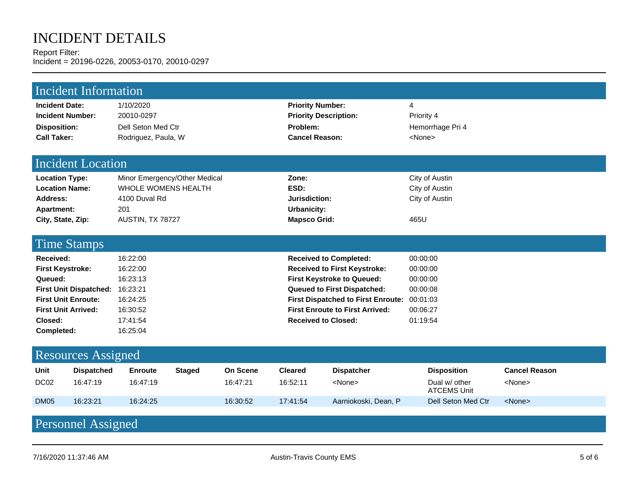# INCIDENT DETAILS

Report Filter: Incident = 20196-0226, 20053-0170, 20010-0297

| <b>Incident Information</b>                                                                                                                                             |                                           |                                                                                                         |               |                                  |                                                                                                                                                                                                                                                               |                                                             |                                                                                  |                                                         |  |  |
|-------------------------------------------------------------------------------------------------------------------------------------------------------------------------|-------------------------------------------|---------------------------------------------------------------------------------------------------------|---------------|----------------------------------|---------------------------------------------------------------------------------------------------------------------------------------------------------------------------------------------------------------------------------------------------------------|-------------------------------------------------------------|----------------------------------------------------------------------------------|---------------------------------------------------------|--|--|
| <b>Incident Date:</b><br><b>Incident Number:</b><br><b>Disposition:</b><br><b>Call Taker:</b>                                                                           |                                           | 1/10/2020<br>20010-0297<br>Dell Seton Med Ctr<br>Rodriguez, Paula, W                                    |               |                                  | <b>Priority Number:</b><br><b>Priority Description:</b><br>Problem:<br><b>Cancel Reason:</b>                                                                                                                                                                  |                                                             | 4<br>Priority 4<br>Hemorrhage Pri 4<br><none></none>                             |                                                         |  |  |
| <b>Incident Location</b>                                                                                                                                                |                                           |                                                                                                         |               |                                  |                                                                                                                                                                                                                                                               |                                                             |                                                                                  |                                                         |  |  |
| <b>Location Type:</b><br><b>Location Name:</b><br>Address:<br><b>Apartment:</b><br>City, State, Zip:                                                                    |                                           | Minor Emergency/Other Medical<br><b>WHOLE WOMENS HEALTH</b><br>4100 Duval Rd<br>201<br>AUSTIN, TX 78727 |               |                                  | Zone:<br>ESD:<br>Jurisdiction:<br>Urbanicity:<br><b>Mapsco Grid:</b>                                                                                                                                                                                          |                                                             | City of Austin<br>City of Austin<br>City of Austin<br>465U                       |                                                         |  |  |
| <b>Time Stamps</b>                                                                                                                                                      |                                           |                                                                                                         |               |                                  |                                                                                                                                                                                                                                                               |                                                             |                                                                                  |                                                         |  |  |
| Received:<br><b>First Keystroke:</b><br>Queued:<br>First Unit Dispatched: 16:23:21<br><b>First Unit Enroute:</b><br><b>First Unit Arrived:</b><br>Closed:<br>Completed: |                                           | 16:22:00<br>16:22:00<br>16:23:13<br>16:24:25<br>16:30:52<br>17:41:54<br>16:25:04                        |               |                                  | <b>Received to Completed:</b><br><b>Received to First Keystroke:</b><br><b>First Keystroke to Queued:</b><br>Queued to First Dispatched:<br><b>First Dispatched to First Enroute:</b><br><b>First Enroute to First Arrived:</b><br><b>Received to Closed:</b> |                                                             | 00:00:00<br>00:00:00<br>00:00:00<br>00:00:08<br>00:01:03<br>00:06:27<br>01:19:54 |                                                         |  |  |
| <b>Resources Assigned</b>                                                                                                                                               |                                           |                                                                                                         |               |                                  |                                                                                                                                                                                                                                                               |                                                             |                                                                                  |                                                         |  |  |
| <b>Unit</b><br>DC <sub>02</sub><br><b>DM05</b>                                                                                                                          | <b>Dispatched</b><br>16:47:19<br>16:23:21 | <b>Enroute</b><br>16:47:19<br>16:24:25                                                                  | <b>Staged</b> | On Scene<br>16:47:21<br>16:30:52 | <b>Cleared</b><br>16:52:11<br>17:41:54                                                                                                                                                                                                                        | <b>Dispatcher</b><br><none><br/>Aarniokoski, Dean, P</none> | <b>Disposition</b><br>Dual w/ other<br><b>ATCEMS Unit</b><br>Dell Seton Med Ctr  | <b>Cancel Reason</b><br><none><br/><none></none></none> |  |  |
|                                                                                                                                                                         |                                           |                                                                                                         |               |                                  |                                                                                                                                                                                                                                                               |                                                             |                                                                                  |                                                         |  |  |

## Personnel Assigned